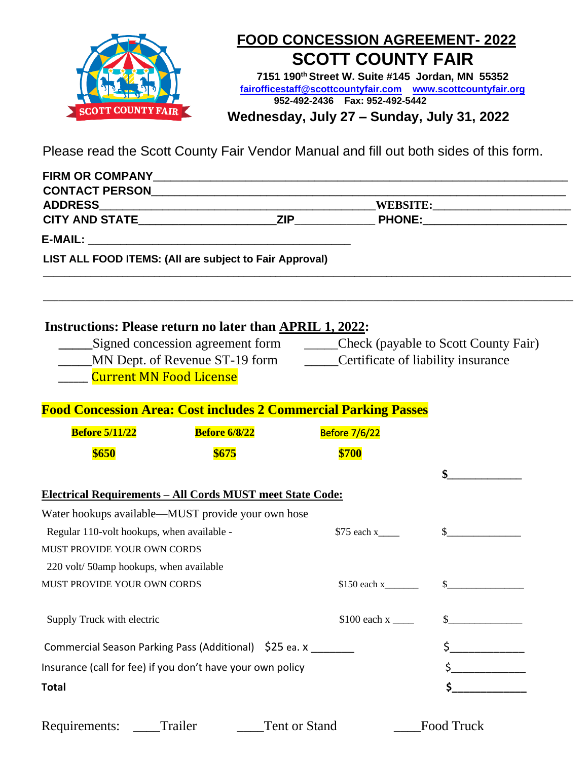

## **FOOD CONCESSION AGREEMENT- 2022 SCOTT COUNTY FAIR**

**7151 190th Street W. Suite #145 Jordan, MN 55352 [fairofficestaff@scottcountyfair.com](mailto:fairofficestaff@scottcountyfair.com) www.scottcountyfair.or[g](http://www.scottcountyfair.com/) 952-492-2436 Fax: 952-492-5442**

**Wednesday, July 27 – Sunday, July 31, 2022**

Please read the Scott County Fair Vendor Manual and fill out both sides of this form.

| <b>ADDRESS</b>                             |                                                                          |                                                                              |              |  |
|--------------------------------------------|--------------------------------------------------------------------------|------------------------------------------------------------------------------|--------------|--|
|                                            |                                                                          |                                                                              |              |  |
|                                            |                                                                          |                                                                              |              |  |
|                                            | LIST ALL FOOD ITEMS: (All are subject to Fair Approval)                  |                                                                              |              |  |
|                                            | <b>Instructions: Please return no later than APRIL 1, 2022:</b>          |                                                                              |              |  |
|                                            |                                                                          | Signed concession agreement form _______Check (payable to Scott County Fair) |              |  |
|                                            | MN Dept. of Revenue ST-19 form _______Certificate of liability insurance |                                                                              |              |  |
|                                            | <b>Current MN Food License</b>                                           |                                                                              |              |  |
|                                            | <b>Food Concession Area: Cost includes 2 Commercial Parking Passes</b>   |                                                                              |              |  |
| <b>Before 5/11/22</b>                      | <b>Before 6/8/22</b>                                                     | <b>Before 7/6/22</b>                                                         |              |  |
| \$650                                      | \$675                                                                    | \$700                                                                        |              |  |
|                                            |                                                                          |                                                                              |              |  |
|                                            |                                                                          |                                                                              |              |  |
|                                            |                                                                          |                                                                              |              |  |
|                                            | <b>Electrical Requirements - All Cords MUST meet State Code:</b>         |                                                                              |              |  |
| Regular 110-volt hookups, when available - | Water hookups available—MUST provide your own hose                       | $$75$ each x                                                                 | $\mathbb{S}$ |  |
| MUST PROVIDE YOUR OWN CORDS                |                                                                          |                                                                              |              |  |
| 220 volt/ 50amp hookups, when available    |                                                                          |                                                                              |              |  |
| MUST PROVIDE YOUR OWN CORDS                |                                                                          |                                                                              | $\sim$       |  |
| Supply Truck with electric                 |                                                                          |                                                                              |              |  |
|                                            | Commercial Season Parking Pass (Additional) \$25 ea. x _______           |                                                                              |              |  |
|                                            | Insurance (call for fee) if you don't have your own policy               |                                                                              |              |  |